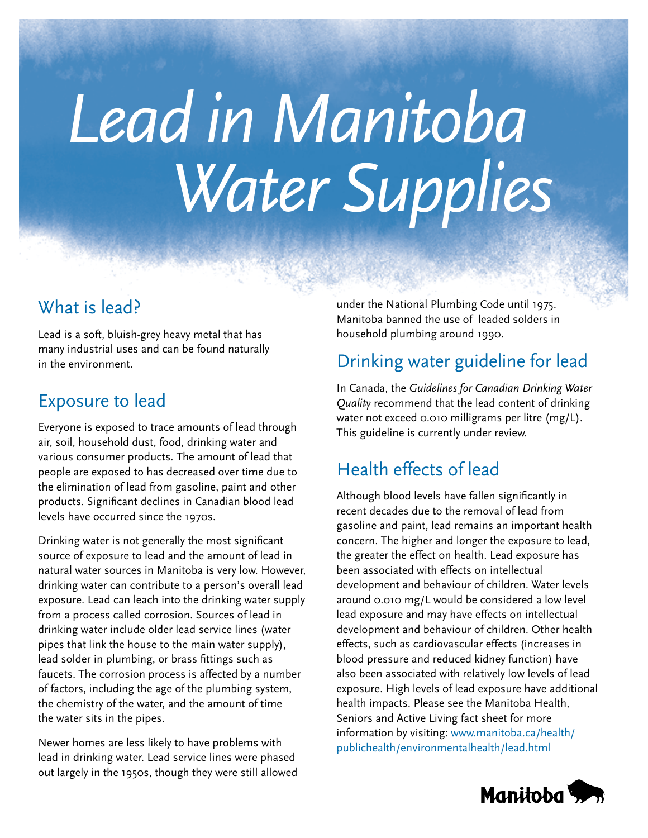# *Lead in Manitoba Water Supplies*

# What is lead?

Lead is a soft, bluish-grey heavy metal that has many industrial uses and can be found naturally in the environment.

## Exposure to lead

Everyone is exposed to trace amounts of lead through air, soil, household dust, food, drinking water and various consumer products. The amount of lead that people are exposed to has decreased over time due to the elimination of lead from gasoline, paint and other products. Significant declines in Canadian blood lead levels have occurred since the 1970s.

Drinking water is not generally the most significant source of exposure to lead and the amount of lead in natural water sources in Manitoba is very low. However, drinking water can contribute to a person's overall lead exposure. Lead can leach into the drinking water supply from a process called corrosion. Sources of lead in drinking water include older lead service lines (water pipes that link the house to the main water supply), lead solder in plumbing, or brass fittings such as faucets. The corrosion process is affected by a number of factors, including the age of the plumbing system, the chemistry of the water, and the amount of time the water sits in the pipes.

Newer homes are less likely to have problems with lead in drinking water. Lead service lines were phased out largely in the 1950s, though they were still allowed under the National Plumbing Code until 1975. Manitoba banned the use of leaded solders in household plumbing around 1990.

## Drinking water guideline for lead

In Canada, the *Guidelines for Canadian Drinking Water Quality* recommend that the lead content of drinking water not exceed 0.010 milligrams per litre (mg/L). This guideline is currently under review.

# Health effects of lead

Although blood levels have fallen significantly in recent decades due to the removal of lead from gasoline and paint, lead remains an important health concern. The higher and longer the exposure to lead, the greater the effect on health. Lead exposure has been associated with effects on intellectual development and behaviour of children. Water levels around 0.010 mg/L would be considered a low level lead exposure and may have effects on intellectual development and behaviour of children. Other health effects, such as cardiovascular effects (increases in blood pressure and reduced kidney function) have also been associated with relatively low levels of lead exposure. High levels of lead exposure have additional health impacts. Please see the Manitoba Health, Seniors and Active Living fact sheet for more information by visiting: [www.manitoba.ca/health/](www.manitoba.ca/health/publichealth/environmentalhealth/lead.html) [publichealth/environmentalhealth/lead.html](www.manitoba.ca/health/publichealth/environmentalhealth/lead.html)

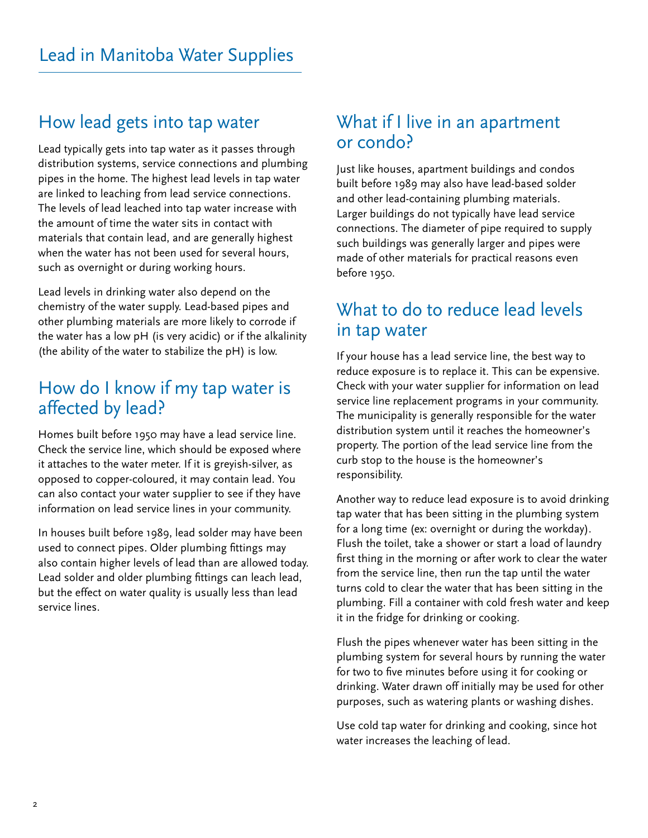### [How lead gets into tap water](http://gov.mb.ca)

Lead typically gets into tap water as it passes through distribution systems, service connections and plumbing pipes in the home. The highest lead levels in tap water are linked to leaching from lead service connections. The levels of lead leached into tap water increase with the amount of time the water sits in contact with materials that contain lead, and are generally highest when the water has not been used for several hours, such as overnight or during working hours.

Lead levels in drinking water also depend on the chemistry of the water supply. Lead-based pipes and other plumbing materials are more likely to corrode if the water has a low pH (is very acidic) or if the alkalinity (the ability of the water to stabilize the pH) is low.

#### How do I know if my tap water is affected by lead?

Homes built before 1950 may have a lead service line. Check the service line, which should be exposed where it attaches to the water meter. If it is greyish-silver, as opposed to copper-coloured, it may contain lead. You can also contact your water supplier to see if they have information on lead service lines in your community.

In houses built before 1989, lead solder may have been used to connect pipes. Older plumbing fittings may also contain higher levels of lead than are allowed today. Lead solder and older plumbing fittings can leach lead, but the effect on water quality is usually less than lead service lines.

#### What if I live in an apartment or condo?

Just like houses, apartment buildings and condos built before 1989 may also have lead-based solder and other lead-containing plumbing materials. Larger buildings do not typically have lead service connections. The diameter of pipe required to supply such buildings was generally larger and pipes were made of other materials for practical reasons even before 1950.

### What to do to reduce lead levels in tap water

If your house has a lead service line, the best way to reduce exposure is to replace it. This can be expensive. Check with your water supplier for information on lead service line replacement programs in your community. The municipality is generally responsible for the water distribution system until it reaches the homeowner's property. The portion of the lead service line from the curb stop to the house is the homeowner's responsibility.

Another way to reduce lead exposure is to avoid drinking tap water that has been sitting in the plumbing system for a long time (ex: overnight or during the workday). Flush the toilet, take a shower or start a load of laundry first thing in the morning or after work to clear the water from the service line, then run the tap until the water turns cold to clear the water that has been sitting in the plumbing. Fill a container with cold fresh water and keep it in the fridge for drinking or cooking.

Flush the pipes whenever water has been sitting in the plumbing system for several hours by running the water for two to five minutes before using it for cooking or drinking. Water drawn off initially may be used for other purposes, such as watering plants or washing dishes.

Use cold tap water for drinking and cooking, since hot water increases the leaching of lead.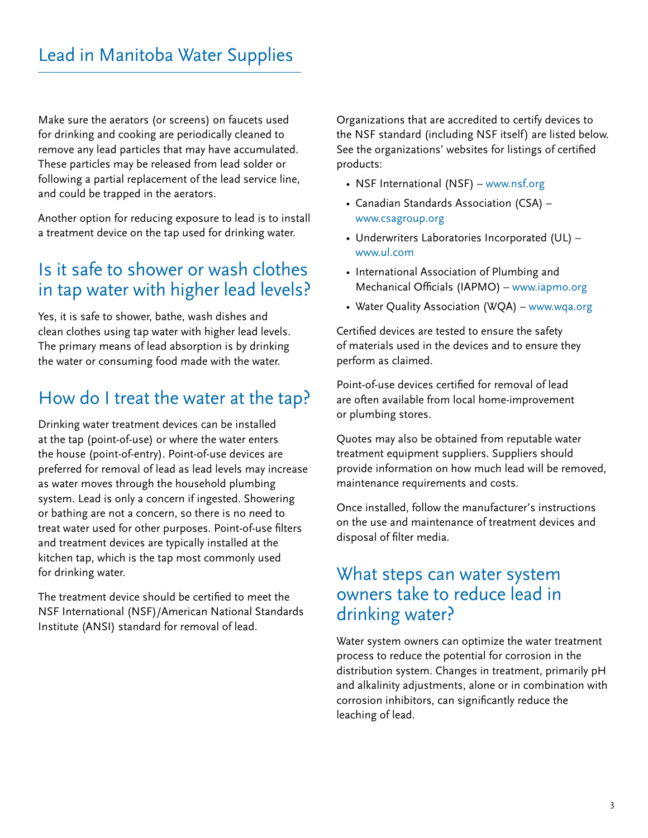Make sure the aerators (or screens) on faucets used for drinking and cooking are periodically cleaned to remove any lead particles that may have accumulated. These particles may be released from lead solder or following a partial replacement of the lead service line, and could be trapped in the aerators.

Another option for reducing exposure to lead is to install a treatment device on the tap used for drinking water.

### Is it safe to shower or wash clothes in tap water with higher lead levels?

Yes, it is safe to shower, bathe, wash dishes and clean clothes using tap water with higher lead levels. The primary means of lead absorption is by drinking the water or consuming food made with the water.

# How do I treat the water at the tap?

Drinking water treatment devices can be installed at the tap (point-of-use) or where the water enters the house (point-of-entry). Point-of-use devices are preferred for removal of lead as lead levels may increase as water moves through the household plumbing system. Lead is only a concern if ingested. Showering or bathing are not a concern, so there is no need to treat water used for other purposes. Point-of-use filters and treatment devices are typically installed at the kitchen tap, which is the tap most commonly used for drinking water.

The treatment device should be certified to meet the NSF International (NSF)/American National Standards Institute (ANSI) standard for removal of lead.

Organizations that are accredited to certify devices to the NSF standard (including NSF itself) are listed below. See the organizations' websites for listings of certified products:

- NSF International (NSF) –<www.nsf.org>
- Canadian Standards Association (CSA) <www.csagroup.org>
- Underwriters Laboratories Incorporated (UL) <www.ul.com>
- International Association of Plumbing and Mechanical Officials (IAPMO) –<www.iapmo.org>
- Water Quality Association (WQA) <www.wqa.org>

Certified devices are tested to ensure the safety of materials used in the devices and to ensure they perform as claimed.

Point-of-use devices certified for removal of lead are often available from local home-improvement or plumbing stores.

Quotes may also be obtained from reputable water treatment equipment suppliers. Suppliers should provide information on how much lead will be removed, maintenance requirements and costs.

Once installed, follow the manufacturer's instructions on the use and maintenance of treatment devices and disposal of filter media.

#### What steps can water system owners take to reduce lead in drinking water?

Water system owners can optimize the water treatment process to reduce the potential for corrosion in the distribution system. Changes in treatment, primarily pH and alkalinity adjustments, alone or in combination with corrosion inhibitors, can significantly reduce the leaching of lead.